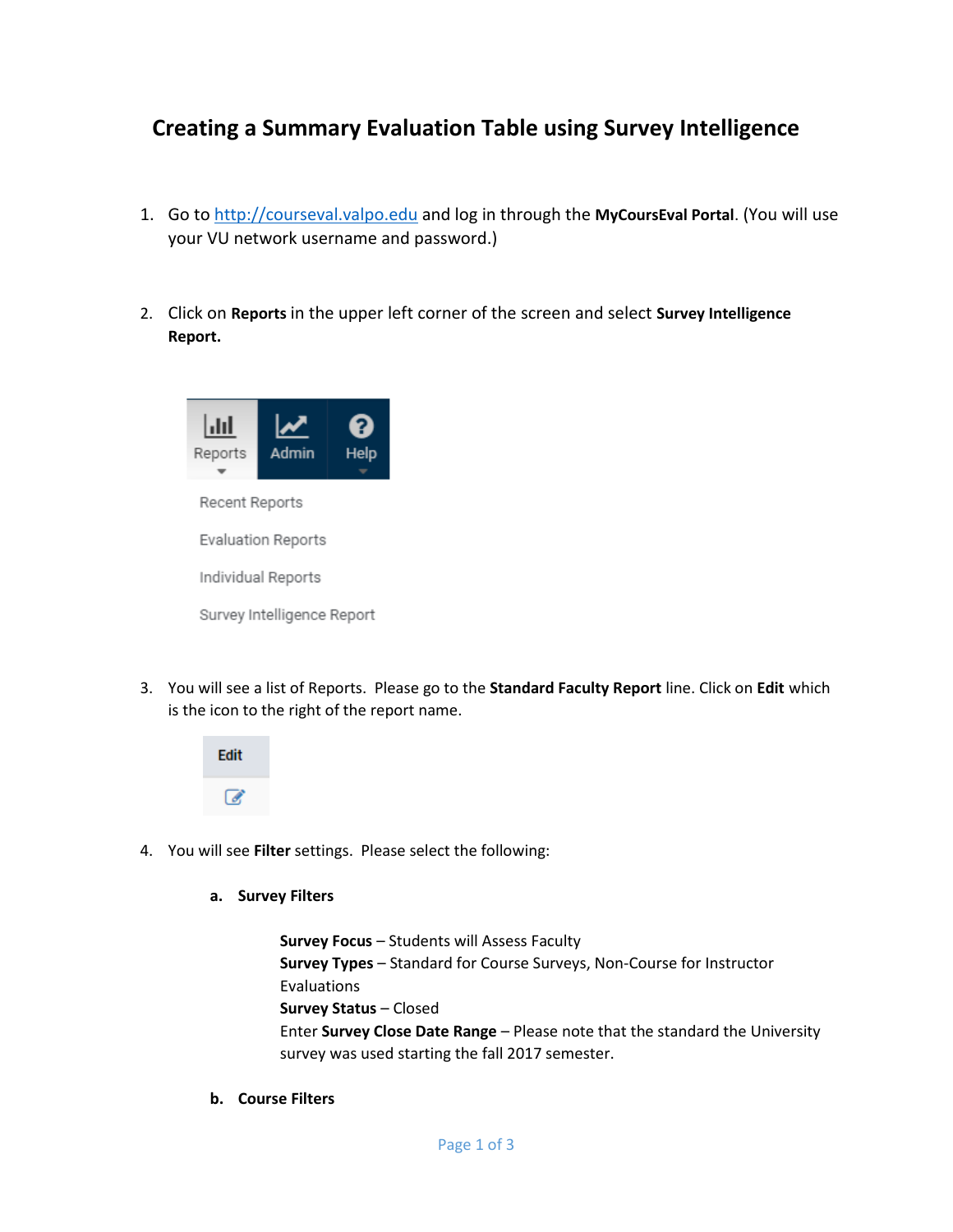## **Creating a Summary Evaluation Table using Survey Intelligence**

- 1. Go t[o http://courseval.valpo.edu](http://courseval.valpo.edu/) and log in through the **MyCoursEval Portal**. (You will use your VU network username and password.)
- 2. Click on **Reports** in the upper left corner of the screen and select **Survey Intelligence Report.**



3. You will see a list of Reports. Please go to the **Standard Faculty Report** line. Click on **Edit** which is the icon to the right of the report name.



4. You will see **Filter** settings. Please select the following:

## **a. Survey Filters**

**Survey Focus** – Students will Assess Faculty **Survey Types** – Standard for Course Surveys, Non-Course for Instructor Evaluations **Survey Status** – Closed Enter **Survey Close Date Range** – Please note that the standard the University survey was used starting the fall 2017 semester.

**b. Course Filters**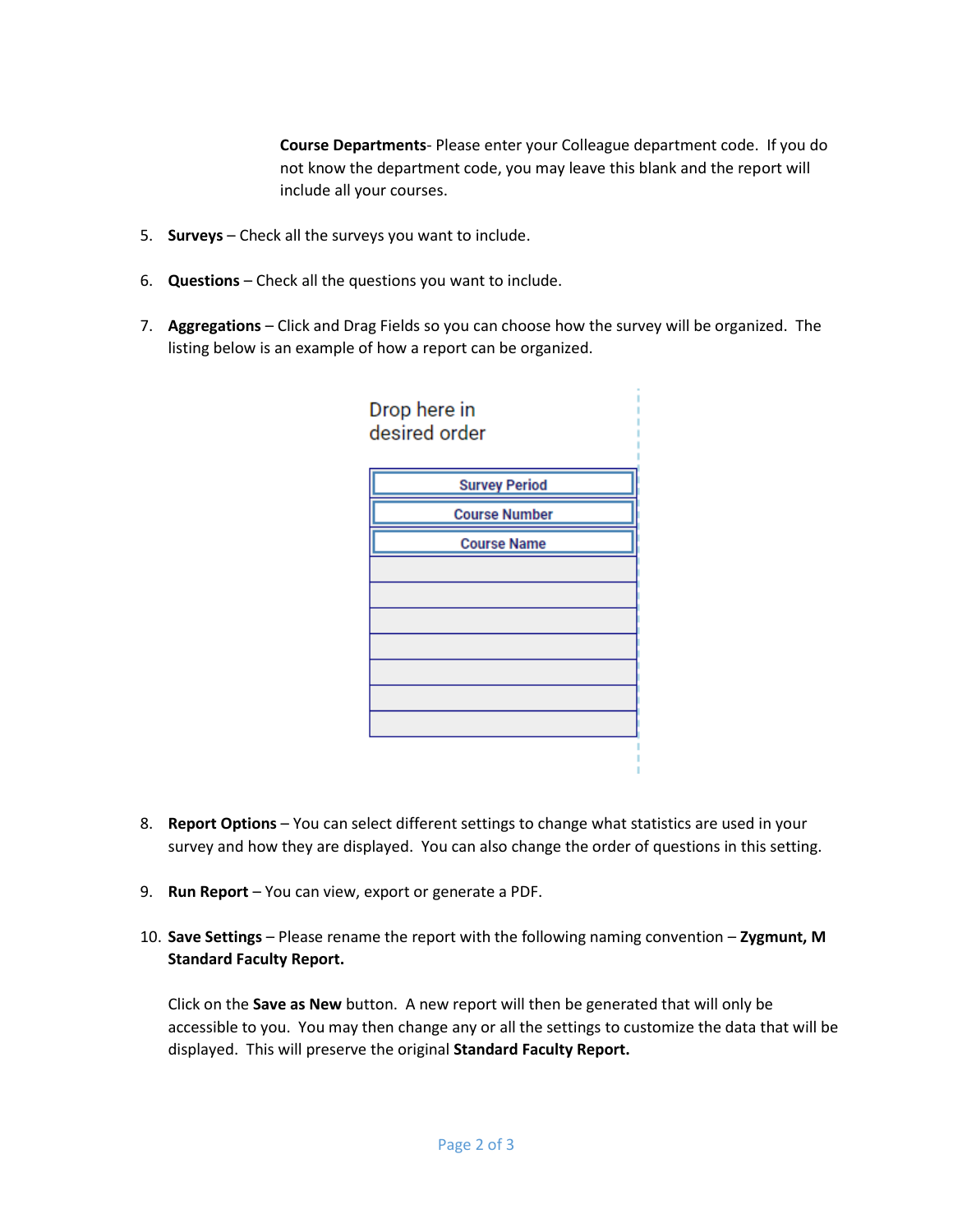**Course Departments**- Please enter your Colleague department code. If you do not know the department code, you may leave this blank and the report will include all your courses.

- 5. **Surveys** Check all the surveys you want to include.
- 6. **Questions** Check all the questions you want to include.
- 7. **Aggregations** Click and Drag Fields so you can choose how the survey will be organized. The listing below is an example of how a report can be organized.



- 8. **Report Options** You can select different settings to change what statistics are used in your survey and how they are displayed. You can also change the order of questions in this setting.
- 9. **Run Report** You can view, export or generate a PDF.
- 10. **Save Settings** Please rename the report with the following naming convention **Zygmunt, M Standard Faculty Report.**

Click on the **Save as New** button. A new report will then be generated that will only be accessible to you. You may then change any or all the settings to customize the data that will be displayed. This will preserve the original **Standard Faculty Report.**